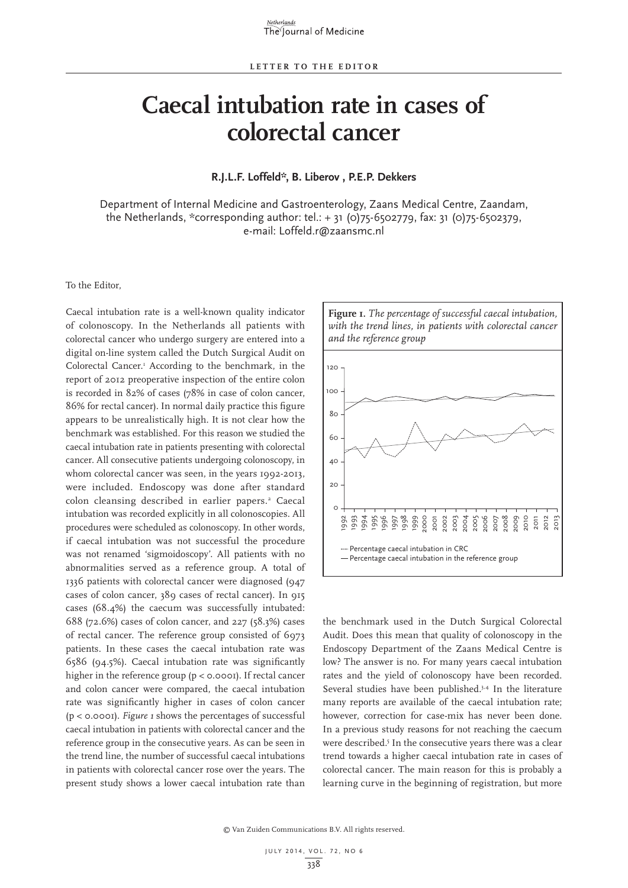## **Caecal intubation rate in cases of colorectal cancer**

**R.J.L.F. Loffeld\*, B. Liberov , P.E.P. Dekkers**

Department of Internal Medicine and Gastroenterology, Zaans Medical Centre, Zaandam, the Netherlands, \*corresponding author: tel.: + 31 (0)75-6502779, fax: 31 (0)75-6502379, e-mail: Loffeld.r@zaansmc.nl

To the Editor,

Caecal intubation rate is a well-known quality indicator of colonoscopy. In the Netherlands all patients with colorectal cancer who undergo surgery are entered into a digital on-line system called the Dutch Surgical Audit on Colorectal Cancer.<sup>1</sup> According to the benchmark, in the report of 2012 preoperative inspection of the entire colon is recorded in 82% of cases (78% in case of colon cancer, 86% for rectal cancer). In normal daily practice this figure appears to be unrealistically high. It is not clear how the benchmark was established. For this reason we studied the caecal intubation rate in patients presenting with colorectal cancer. All consecutive patients undergoing colonoscopy, in whom colorectal cancer was seen, in the years 1992-2013, were included. Endoscopy was done after standard colon cleansing described in earlier papers.<sup>2</sup> Caecal intubation was recorded explicitly in all colonoscopies. All procedures were scheduled as colonoscopy. In other words, if caecal intubation was not successful the procedure was not renamed 'sigmoidoscopy'. All patients with no abnormalities served as a reference group. A total of 1336 patients with colorectal cancer were diagnosed (947 cases of colon cancer, 389 cases of rectal cancer). In 915 cases (68.4%) the caecum was successfully intubated: 688 (72.6%) cases of colon cancer, and 227 (58.3%) cases of rectal cancer. The reference group consisted of 6973 patients. In these cases the caecal intubation rate was 6586 (94.5%). Caecal intubation rate was significantly higher in the reference group ( $p <$  0.0001). If rectal cancer and colon cancer were compared, the caecal intubation rate was significantly higher in cases of colon cancer (p < 0.0001). *Figure 1* shows the percentages of successful caecal intubation in patients with colorectal cancer and the reference group in the consecutive years. As can be seen in the trend line, the number of successful caecal intubations in patients with colorectal cancer rose over the years. The present study shows a lower caecal intubation rate than



the benchmark used in the Dutch Surgical Colorectal Audit. Does this mean that quality of colonoscopy in the Endoscopy Department of the Zaans Medical Centre is low? The answer is no. For many years caecal intubation rates and the yield of colonoscopy have been recorded. Several studies have been published.<sup>3,4</sup> In the literature many reports are available of the caecal intubation rate; however, correction for case-mix has never been done. In a previous study reasons for not reaching the caecum were described.<sup>5</sup> In the consecutive years there was a clear trend towards a higher caecal intubation rate in cases of colorectal cancer. The main reason for this is probably a learning curve in the beginning of registration, but more